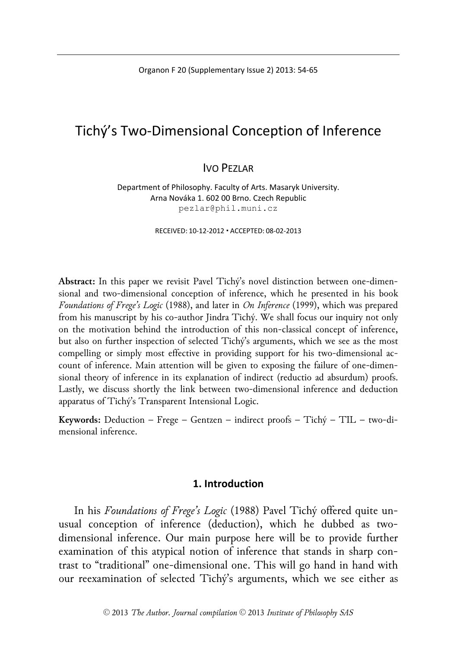Organon F 20 (Supplementary Issue 2) 2013: 54-65

# Tichý's Two-Dimensional Conception of Inference

## IVO PEZLAR

Department of Philosophy. Faculty of Arts. Masaryk University. Arna Nováka 1. 602 00 Brno. Czech Republic pezlar@phil.muni.cz

RECEIVED: 10-12-2012 ACCEPTED: 08-02-2013

**Abstract:** In this paper we revisit Pavel Tichý's novel distinction between one-dimensional and two-dimensional conception of inference, which he presented in his book *Foundations of Frege's Logic* (1988), and later in *On Inference* (1999), which was prepared from his manuscript by his co-author Jindra Tichý. We shall focus our inquiry not only on the motivation behind the introduction of this non-classical concept of inference, but also on further inspection of selected Tichý's arguments, which we see as the most compelling or simply most effective in providing support for his two-dimensional account of inference. Main attention will be given to exposing the failure of one-dimensional theory of inference in its explanation of indirect (reductio ad absurdum) proofs. Lastly, we discuss shortly the link between two-dimensional inference and deduction apparatus of Tichý's Transparent Intensional Logic.

**Keywords:** Deduction – Frege – Gentzen – indirect proofs – Tichý – TIL – two-dimensional inference.

## **1. Introduction**

In his *Foundations of Frege's Logic* (1988) Pavel Tichý offered quite unusual conception of inference (deduction), which he dubbed as twodimensional inference. Our main purpose here will be to provide further examination of this atypical notion of inference that stands in sharp contrast to "traditional" one-dimensional one. This will go hand in hand with our reexamination of selected Tichý's arguments, which we see either as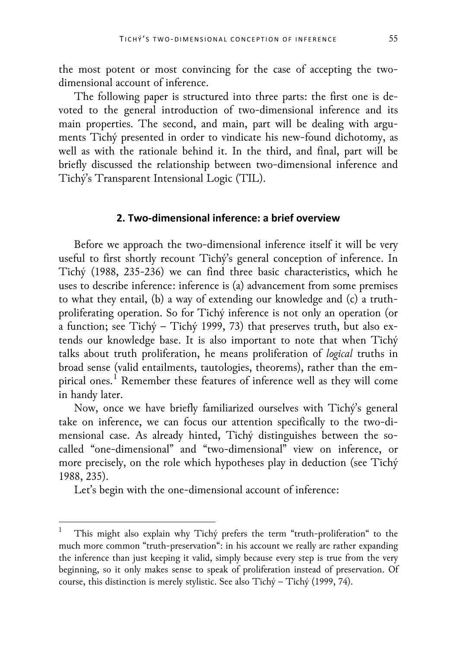the most potent or most convincing for the case of accepting the twodimensional account of inference.

The following paper is structured into three parts: the first one is devoted to the general introduction of two-dimensional inference and its main properties. The second, and main, part will be dealing with arguments Tichý presented in order to vindicate his new-found dichotomy, as well as with the rationale behind it. In the third, and final, part will be briefly discussed the relationship between two-dimensional inference and Tichý's Transparent Intensional Logic (TIL).

## **2. Two-dimensional inference: a brief overview**

Before we approach the two-dimensional inference itself it will be very useful to first shortly recount Tichý's general conception of inference. In Tichý (1988, 235-236) we can find three basic characteristics, which he uses to describe inference: inference is (a) advancement from some premises to what they entail, (b) a way of extending our knowledge and (c) a truthproliferating operation. So for Tichý inference is not only an operation (or a function; see Tichý – Tichý 1999, 73) that preserves truth, but also extends our knowledge base. It is also important to note that when Tichý talks about truth proliferation, he means proliferation of *logical* truths in broad sense (valid entailments, tautologies, theorems), rather than the em-pirical ones.<sup>[1](#page-1-0)</sup> Remember these features of inference well as they will come in handy later.

Now, once we have briefly familiarized ourselves with Tichý's general take on inference, we can focus our attention specifically to the two-dimensional case. As already hinted, Tichý distinguishes between the socalled "one-dimensional" and "two-dimensional" view on inference, or more precisely, on the role which hypotheses play in deduction (see Tichý 1988, 235).

Let's begin with the one-dimensional account of inference:

<span id="page-1-0"></span>This might also explain why Tichý prefers the term "truth-proliferation" to the much more common "truth-preservation": in his account we really are rather expanding the inference than just keeping it valid, simply because every step is true from the very beginning, so it only makes sense to speak of proliferation instead of preservation. Of course, this distinction is merely stylistic. See also Tichý – Tichý (1999, 74).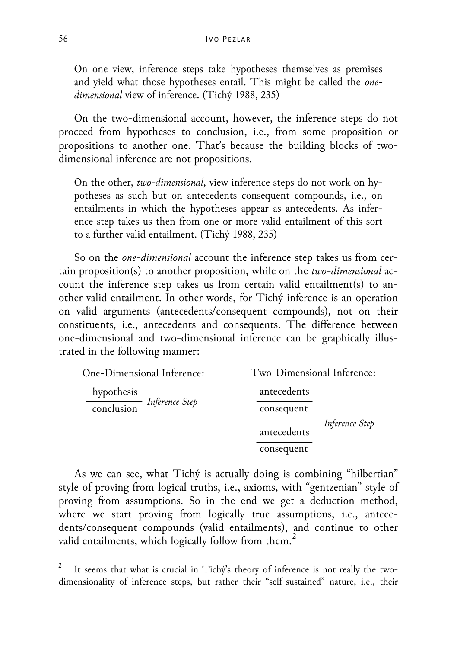On one view, inference steps take hypotheses themselves as premises and yield what those hypotheses entail. This might be called the *onedimensional* view of inference. (Tichý 1988, 235)

On the two-dimensional account, however, the inference steps do not proceed from hypotheses to conclusion, i.e., from some proposition or propositions to another one. That's because the building blocks of twodimensional inference are not propositions.

On the other, *two-dimensional*, view inference steps do not work on hypotheses as such but on antecedents consequent compounds, i.e., on entailments in which the hypotheses appear as antecedents. As inference step takes us then from one or more valid entailment of this sort to a further valid entailment. (Tichý 1988, 235)

So on the *one-dimensional* account the inference step takes us from certain proposition(s) to another proposition, while on the *two-dimensional* account the inference step takes us from certain valid entailment(s) to another valid entailment. In other words, for Tichý inference is an operation on valid arguments (antecedents/consequent compounds), not on their constituents, i.e., antecedents and consequents. The difference between one-dimensional and two-dimensional inference can be graphically illustrated in the following manner:

| One-Dimensional Inference:              | Two-Dimensional Inference:    |
|-----------------------------------------|-------------------------------|
| hypothesis<br>conclusion Inference Step | antecedents<br>consequent     |
|                                         | Inference Step<br>antecedents |
|                                         | consequent                    |

As we can see, what Tichý is actually doing is combining "hilbertian" style of proving from logical truths, i.e., axioms, with "gentzenian" style of proving from assumptions. So in the end we get a deduction method, where we start proving from logically true assumptions, i.e., antecedents/consequent compounds (valid entailments), and continue to other valid entailments, which logically follow from them.<sup>[2](#page-2-0)</sup>

<span id="page-2-0"></span>It seems that what is crucial in Tichý's theory of inference is not really the twodimensionality of inference steps, but rather their "self-sustained" nature, i.e., their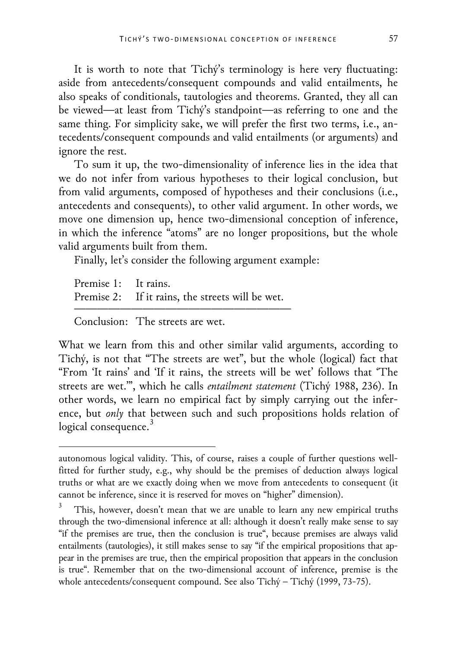It is worth to note that Tichý's terminology is here very fluctuating: aside from antecedents/consequent compounds and valid entailments, he also speaks of conditionals, tautologies and theorems. Granted, they all can be viewed—at least from Tichý's standpoint—as referring to one and the same thing. For simplicity sake, we will prefer the first two terms, i.e., antecedents/consequent compounds and valid entailments (or arguments) and ignore the rest.

To sum it up, the two-dimensionality of inference lies in the idea that we do not infer from various hypotheses to their logical conclusion, but from valid arguments, composed of hypotheses and their conclusions (i.e., antecedents and consequents), to other valid argument. In other words, we move one dimension up, hence two-dimensional conception of inference, in which the inference "atoms" are no longer propositions, but the whole valid arguments built from them.

Finally, let's consider the following argument example:

Premise 1: It rains. Premise 2: If it rains, the streets will be wet. ———————————————————

Conclusion: The streets are wet.

1

What we learn from this and other similar valid arguments, according to Tichý, is not that "The streets are wet", but the whole (logical) fact that "From 'It rains' and 'If it rains, the streets will be wet' follows that 'The streets are wet.'", which he calls *entailment statement* (Tichý 1988, 236). In other words, we learn no empirical fact by simply carrying out the inference, but *only* that between such and such propositions holds relation of logical consequence. $3$ 

autonomous logical validity. This, of course, raises a couple of further questions wellfitted for further study, e.g., why should be the premises of deduction always logical truths or what are we exactly doing when we move from antecedents to consequent (it cannot be inference, since it is reserved for moves on "higher" dimension).

<span id="page-3-0"></span>This, however, doesn't mean that we are unable to learn any new empirical truths through the two-dimensional inference at all: although it doesn't really make sense to say "if the premises are true, then the conclusion is true", because premises are always valid entailments (tautologies), it still makes sense to say "if the empirical propositions that appear in the premises are true, then the empirical proposition that appears in the conclusion is true". Remember that on the two-dimensional account of inference, premise is the whole antecedents/consequent compound. See also Tichý – Tichý (1999, 73-75).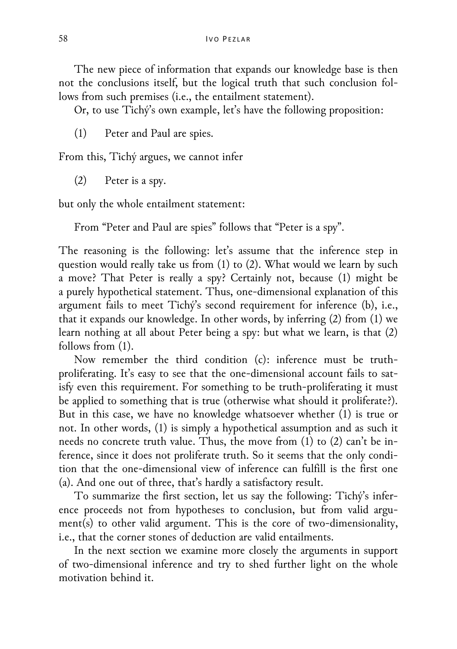The new piece of information that expands our knowledge base is then not the conclusions itself, but the logical truth that such conclusion follows from such premises (i.e., the entailment statement).

Or, to use Tichý's own example, let's have the following proposition:

(1) Peter and Paul are spies.

From this, Tichý argues, we cannot infer

(2) Peter is a spy.

but only the whole entailment statement:

From "Peter and Paul are spies" follows that "Peter is a spy".

The reasoning is the following: let's assume that the inference step in question would really take us from (1) to (2). What would we learn by such a move? That Peter is really a spy? Certainly not, because (1) might be a purely hypothetical statement. Thus, one-dimensional explanation of this argument fails to meet Tichý's second requirement for inference (b), i.e., that it expands our knowledge. In other words, by inferring (2) from (1) we learn nothing at all about Peter being a spy: but what we learn, is that (2) follows from (1).

Now remember the third condition (c): inference must be truthproliferating. It's easy to see that the one-dimensional account fails to satisfy even this requirement. For something to be truth-proliferating it must be applied to something that is true (otherwise what should it proliferate?). But in this case, we have no knowledge whatsoever whether (1) is true or not. In other words, (1) is simply a hypothetical assumption and as such it needs no concrete truth value. Thus, the move from (1) to (2) can't be inference, since it does not proliferate truth. So it seems that the only condition that the one-dimensional view of inference can fulfill is the first one (a). And one out of three, that's hardly a satisfactory result.

To summarize the first section, let us say the following: Tichý's inference proceeds not from hypotheses to conclusion, but from valid argument(s) to other valid argument. This is the core of two-dimensionality, i.e., that the corner stones of deduction are valid entailments.

In the next section we examine more closely the arguments in support of two-dimensional inference and try to shed further light on the whole motivation behind it.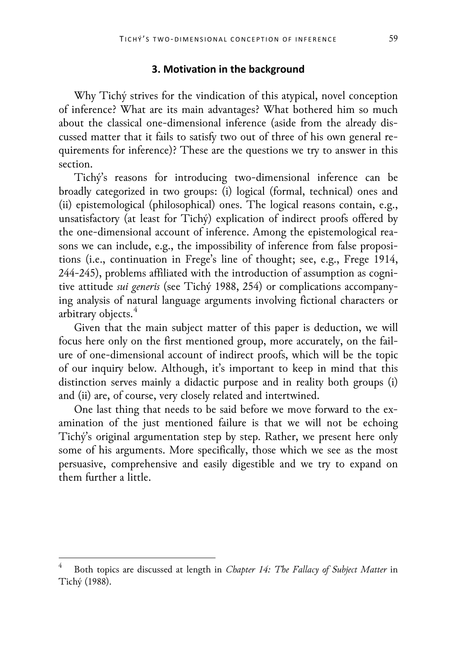#### **3. Motivation in the background**

Why Tichý strives for the vindication of this atypical, novel conception of inference? What are its main advantages? What bothered him so much about the classical one-dimensional inference (aside from the already discussed matter that it fails to satisfy two out of three of his own general requirements for inference)? These are the questions we try to answer in this section.

Tichý's reasons for introducing two-dimensional inference can be broadly categorized in two groups: (i) logical (formal, technical) ones and (ii) epistemological (philosophical) ones. The logical reasons contain, e.g., unsatisfactory (at least for Tichý) explication of indirect proofs offered by the one-dimensional account of inference. Among the epistemological reasons we can include, e.g., the impossibility of inference from false propositions (i.e., continuation in Frege's line of thought; see, e.g., Frege 1914, 244-245), problems affiliated with the introduction of assumption as cognitive attitude *sui generis* (see Tichý 1988, 254) or complications accompanying analysis of natural language arguments involving fictional characters or arbitrary objects.<sup>[4](#page-5-0)</sup>

Given that the main subject matter of this paper is deduction, we will focus here only on the first mentioned group, more accurately, on the failure of one-dimensional account of indirect proofs, which will be the topic of our inquiry below. Although, it's important to keep in mind that this distinction serves mainly a didactic purpose and in reality both groups (i) and (ii) are, of course, very closely related and intertwined.

One last thing that needs to be said before we move forward to the examination of the just mentioned failure is that we will not be echoing Tichý's original argumentation step by step. Rather, we present here only some of his arguments. More specifically, those which we see as the most persuasive, comprehensive and easily digestible and we try to expand on them further a little.

<span id="page-5-0"></span> <sup>4</sup> Both topics are discussed at length in *Chapter 14: The Fallacy of Subject Matter* in Tichý (1988).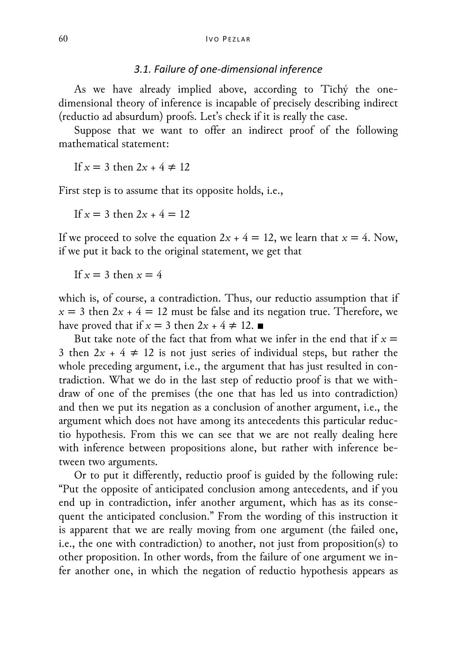### *3.1. Failure of one-dimensional inference*

As we have already implied above, according to Tichý the onedimensional theory of inference is incapable of precisely describing indirect (reductio ad absurdum) proofs. Let's check if it is really the case.

Suppose that we want to offer an indirect proof of the following mathematical statement:

If  $x = 3$  then  $2x + 4 \ne 12$ 

First step is to assume that its opposite holds, i.e.,

If  $x = 3$  then  $2x + 4 = 12$ 

If we proceed to solve the equation  $2x + 4 = 12$ , we learn that  $x = 4$ . Now, if we put it back to the original statement, we get that

If  $x = 3$  then  $x = 4$ 

which is, of course, a contradiction. Thus, our reductio assumption that if  $x = 3$  then  $2x + 4 = 12$  must be false and its negation true. Therefore, we have proved that if  $x = 3$  then  $2x + 4 \neq 12$ .

But take note of the fact that from what we infer in the end that if  $x =$ 3 then  $2x + 4 \neq 12$  is not just series of individual steps, but rather the whole preceding argument, i.e., the argument that has just resulted in contradiction. What we do in the last step of reductio proof is that we withdraw of one of the premises (the one that has led us into contradiction) and then we put its negation as a conclusion of another argument, i.e., the argument which does not have among its antecedents this particular reductio hypothesis. From this we can see that we are not really dealing here with inference between propositions alone, but rather with inference between two arguments.

Or to put it differently, reductio proof is guided by the following rule: "Put the opposite of anticipated conclusion among antecedents, and if you end up in contradiction, infer another argument, which has as its consequent the anticipated conclusion." From the wording of this instruction it is apparent that we are really moving from one argument (the failed one, i.e., the one with contradiction) to another, not just from proposition(s) to other proposition. In other words, from the failure of one argument we infer another one, in which the negation of reductio hypothesis appears as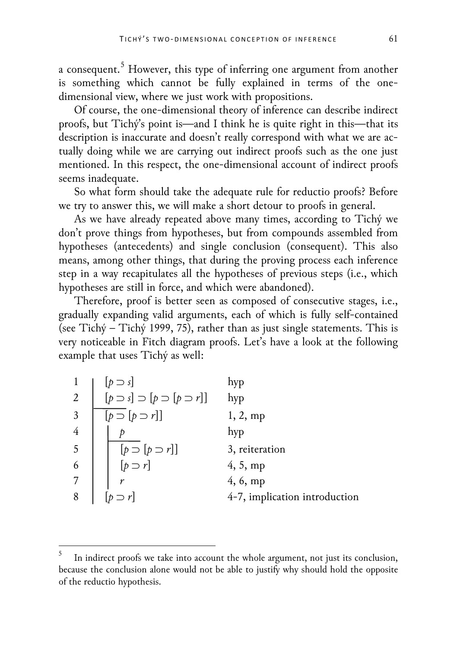a consequent.<sup>[5](#page-7-0)</sup> However, this type of inferring one argument from another is something which cannot be fully explained in terms of the onedimensional view, where we just work with propositions.

Of course, the one-dimensional theory of inference can describe indirect proofs, but Tichý's point is—and I think he is quite right in this—that its description is inaccurate and doesn't really correspond with what we are actually doing while we are carrying out indirect proofs such as the one just mentioned. In this respect, the one-dimensional account of indirect proofs seems inadequate.

So what form should take the adequate rule for reductio proofs? Before we try to answer this, we will make a short detour to proofs in general.

As we have already repeated above many times, according to Tichý we don't prove things from hypotheses, but from compounds assembled from hypotheses (antecedents) and single conclusion (consequent). This also means, among other things, that during the proving process each inference step in a way recapitulates all the hypotheses of previous steps (i.e., which hypotheses are still in force, and which were abandoned).

Therefore, proof is better seen as composed of consecutive stages, i.e., gradually expanding valid arguments, each of which is fully self-contained (see Tichý – Tichý 1999, 75), rather than as just single statements. This is very noticeable in Fitch diagram proofs. Let's have a look at the following example that uses Tichý as well:

| 1              | $[p \supset s]$                                   | hyp                           |
|----------------|---------------------------------------------------|-------------------------------|
| $\overline{2}$ | $[p \supset s] \supset [p \supset [p \supset r]]$ | hyp                           |
| 3              | $[p \supset [p \supset r]]$                       | 1, 2, mp                      |
| $\overline{4}$ |                                                   | hyp                           |
| 5              | $[p \supset [p \supset r]]$<br>$[p \supset r]$    | 3, reiteration                |
| 6              |                                                   | 4, 5, mp                      |
| 7              |                                                   | 4, 6, mp                      |
| 8              |                                                   | 4-7, implication introduction |

<span id="page-7-0"></span> <sup>5</sup> In indirect proofs we take into account the whole argument, not just its conclusion, because the conclusion alone would not be able to justify why should hold the opposite of the reductio hypothesis.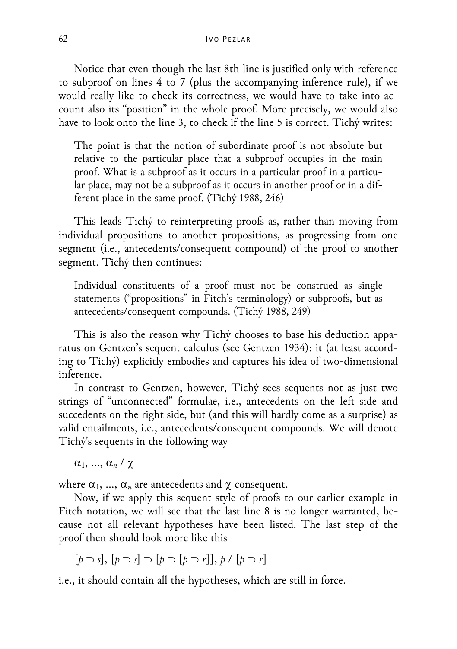Notice that even though the last 8th line is justified only with reference to subproof on lines 4 to 7 (plus the accompanying inference rule), if we would really like to check its correctness, we would have to take into account also its "position" in the whole proof. More precisely, we would also have to look onto the line 3, to check if the line 5 is correct. Tichý writes:

The point is that the notion of subordinate proof is not absolute but relative to the particular place that a subproof occupies in the main proof. What is a subproof as it occurs in a particular proof in a particular place, may not be a subproof as it occurs in another proof or in a different place in the same proof. (Tichý 1988, 246)

This leads Tichý to reinterpreting proofs as, rather than moving from individual propositions to another propositions, as progressing from one segment (i.e., antecedents/consequent compound) of the proof to another segment. Tichý then continues:

Individual constituents of a proof must not be construed as single statements ("propositions" in Fitch's terminology) or subproofs, but as antecedents/consequent compounds. (Tichý 1988, 249)

This is also the reason why Tichý chooses to base his deduction apparatus on Gentzen's sequent calculus (see Gentzen 1934): it (at least according to Tichý) explicitly embodies and captures his idea of two-dimensional inference.

In contrast to Gentzen, however, Tichý sees sequents not as just two strings of "unconnected" formulae, i.e., antecedents on the left side and succedents on the right side, but (and this will hardly come as a surprise) as valid entailments, i.e., antecedents/consequent compounds. We will denote Tichý's sequents in the following way

 $\alpha_1, ..., \alpha_n \, / \, \chi$ 

where  $\alpha_1$ , ...,  $\alpha_n$  are antecedents and  $\chi$  consequent.

Now, if we apply this sequent style of proofs to our earlier example in Fitch notation, we will see that the last line 8 is no longer warranted, because not all relevant hypotheses have been listed. The last step of the proof then should look more like this

[*p* ⊃ *s*], [*p* ⊃ *s*] ⊃ [*p* ⊃ [*p* ⊃ *r*]], *p* / [*p* ⊃ *r*]

i.e., it should contain all the hypotheses, which are still in force.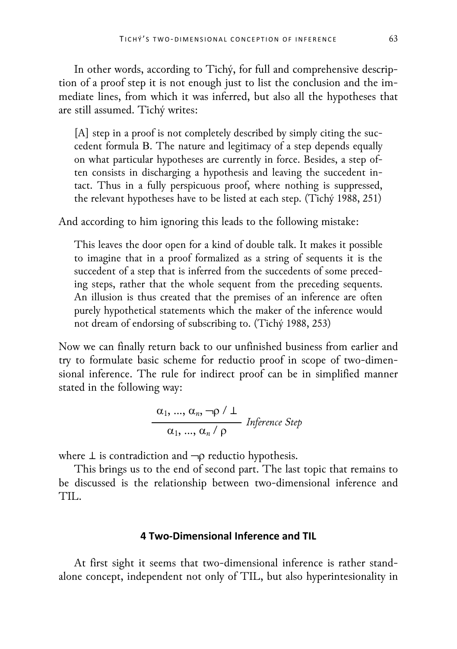In other words, according to Tichý, for full and comprehensive description of a proof step it is not enough just to list the conclusion and the immediate lines, from which it was inferred, but also all the hypotheses that are still assumed. Tichý writes:

[A] step in a proof is not completely described by simply citing the succedent formula Β. The nature and legitimacy of a step depends equally on what particular hypotheses are currently in force. Besides, a step often consists in discharging a hypothesis and leaving the succedent intact. Thus in a fully perspicuous proof, where nothing is suppressed, the relevant hypotheses have to be listed at each step. (Tichý 1988, 251)

And according to him ignoring this leads to the following mistake:

This leaves the door open for a kind of double talk. It makes it possible to imagine that in a proof formalized as a string of sequents it is the succedent of a step that is inferred from the succedents of some preceding steps, rather that the whole sequent from the preceding sequents. An illusion is thus created that the premises of an inference are often purely hypothetical statements which the maker of the inference would not dream of endorsing of subscribing to. (Tichý 1988, 253)

Now we can finally return back to our unfinished business from earlier and try to formulate basic scheme for reductio proof in scope of two-dimensional inference. The rule for indirect proof can be in simplified manner stated in the following way:

$$
\frac{\alpha_1, ..., \alpha_n, \neg \rho / \bot}{\alpha_1, ..., \alpha_n / \rho}
$$
 Inference Step

where  $\perp$  is contradiction and  $\neg$  reductio hypothesis.

This brings us to the end of second part. The last topic that remains to be discussed is the relationship between two-dimensional inference and TIL.

## **4 Two-Dimensional Inference and TIL**

At first sight it seems that two-dimensional inference is rather standalone concept, independent not only of TIL, but also hyperintesionality in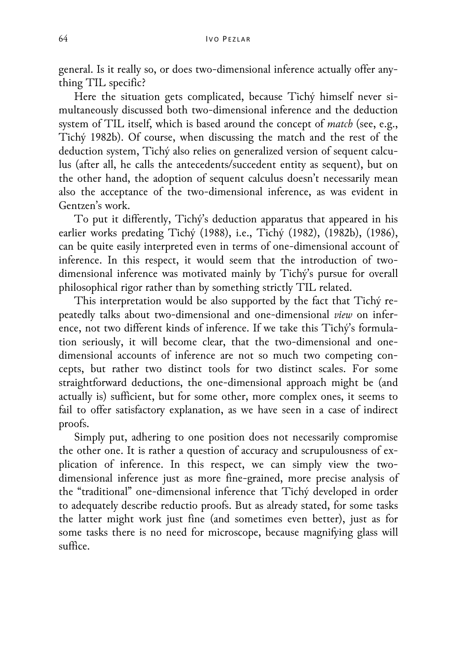general. Is it really so, or does two-dimensional inference actually offer anything TIL specific?

Here the situation gets complicated, because Tichý himself never simultaneously discussed both two-dimensional inference and the deduction system of TIL itself, which is based around the concept of *match* (see, e.g., Tichý 1982b). Of course, when discussing the match and the rest of the deduction system, Tichý also relies on generalized version of sequent calculus (after all, he calls the antecedents/succedent entity as sequent), but on the other hand, the adoption of sequent calculus doesn't necessarily mean also the acceptance of the two-dimensional inference, as was evident in Gentzen's work.

To put it differently, Tichý's deduction apparatus that appeared in his earlier works predating Tichý (1988), i.e., Tichý (1982), (1982b), (1986), can be quite easily interpreted even in terms of one-dimensional account of inference. In this respect, it would seem that the introduction of twodimensional inference was motivated mainly by Tichý's pursue for overall philosophical rigor rather than by something strictly TIL related.

This interpretation would be also supported by the fact that Tichý repeatedly talks about two-dimensional and one-dimensional *view* on inference, not two different kinds of inference. If we take this Tichý's formulation seriously, it will become clear, that the two-dimensional and onedimensional accounts of inference are not so much two competing concepts, but rather two distinct tools for two distinct scales. For some straightforward deductions, the one-dimensional approach might be (and actually is) sufficient, but for some other, more complex ones, it seems to fail to offer satisfactory explanation, as we have seen in a case of indirect proofs.

Simply put, adhering to one position does not necessarily compromise the other one. It is rather a question of accuracy and scrupulousness of explication of inference. In this respect, we can simply view the twodimensional inference just as more fine-grained, more precise analysis of the "traditional" one-dimensional inference that Tichý developed in order to adequately describe reductio proofs. But as already stated, for some tasks the latter might work just fine (and sometimes even better), just as for some tasks there is no need for microscope, because magnifying glass will suffice.